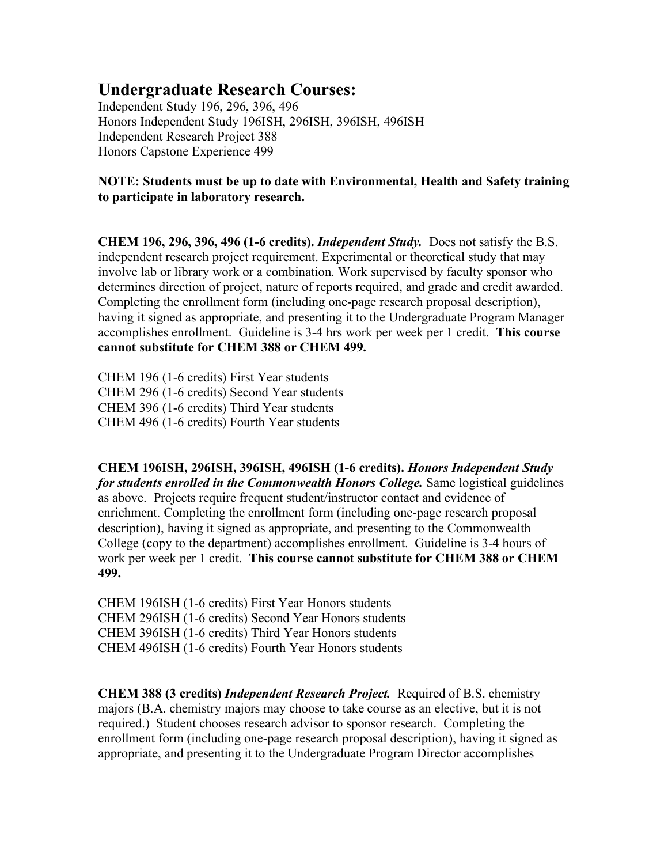## **Undergraduate Research Courses:**

Independent Study 196, 296, 396, 496 Honors Independent Study 196ISH, 296ISH, 396ISH, 496ISH Independent Research Project 388 Honors Capstone Experience 499

## **NOTE: Students must be up to date with Environmental, Health and Safety training to participate in laboratory research.**

**CHEM 196, 296, 396, 496 (1-6 credits).** *Independent Study.* Does not satisfy the B.S. independent research project requirement. Experimental or theoretical study that may involve lab or library work or a combination. Work supervised by faculty sponsor who determines direction of project, nature of reports required, and grade and credit awarded. Completing the enrollment form (including one-page research proposal description), having it signed as appropriate, and presenting it to the Undergraduate Program Manager accomplishes enrollment. Guideline is 3-4 hrs work per week per 1 credit. **This course cannot substitute for CHEM 388 or CHEM 499.**

CHEM 196 (1-6 credits) First Year students CHEM 296 (1-6 credits) Second Year students CHEM 396 (1-6 credits) Third Year students CHEM 496 (1-6 credits) Fourth Year students

**CHEM 196ISH, 296ISH, 396ISH, 496ISH (1-6 credits).** *Honors Independent Study for students enrolled in the Commonwealth Honors College.* Same logistical guidelines as above. Projects require frequent student/instructor contact and evidence of enrichment. Completing the enrollment form (including one-page research proposal description), having it signed as appropriate, and presenting to the Commonwealth College (copy to the department) accomplishes enrollment. Guideline is 3-4 hours of work per week per 1 credit. **This course cannot substitute for CHEM 388 or CHEM 499.**

CHEM 196ISH (1-6 credits) First Year Honors students CHEM 296ISH (1-6 credits) Second Year Honors students CHEM 396ISH (1-6 credits) Third Year Honors students CHEM 496ISH (1-6 credits) Fourth Year Honors students

**CHEM 388 (3 credits)** *Independent Research Project.* Required of B.S. chemistry majors (B.A. chemistry majors may choose to take course as an elective, but it is not required.) Student chooses research advisor to sponsor research. Completing the enrollment form (including one-page research proposal description), having it signed as appropriate, and presenting it to the Undergraduate Program Director accomplishes